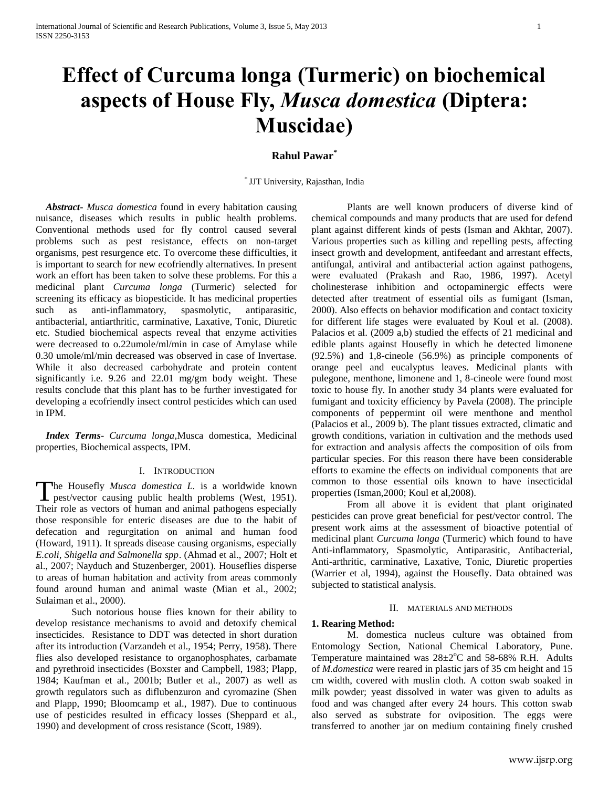# **Effect of Curcuma longa (Turmeric) on biochemical aspects of House Fly,** *Musca domestica* **(Diptera: Muscidae)**

# **Rahul Pawar\***

\* JJT University, Rajasthan, India

 *Abstract***-** *Musca domestica* found in every habitation causing nuisance, diseases which results in public health problems. Conventional methods used for fly control caused several problems such as pest resistance, effects on non-target organisms, pest resurgence etc. To overcome these difficulties, it is important to search for new ecofriendly alternatives. In present work an effort has been taken to solve these problems. For this a medicinal plant *Curcuma longa* (Turmeric) selected for screening its efficacy as biopesticide. It has medicinal properties such as anti-inflammatory, spasmolytic, antiparasitic, antibacterial, antiarthritic, carminative, Laxative, Tonic, Diuretic etc. Studied biochemical aspects reveal that enzyme activities were decreased to o.22umole/ml/min in case of Amylase while 0.30 umole/ml/min decreased was observed in case of Invertase. While it also decreased carbohydrate and protein content significantly i.e. 9.26 and 22.01 mg/gm body weight. These results conclude that this plant has to be further investigated for developing a ecofriendly insect control pesticides which can used in IPM.

 *Index Terms*- *Curcuma longa*,Musca domestica, Medicinal properties, Biochemical asspects, IPM.

## I. INTRODUCTION

he Housefly *Musca domestica L.* is a worldwide known The Housefly *Musca domestica L*. is a worldwide known<br>pest/vector causing public health problems (West, 1951). Their role as vectors of human and animal pathogens especially those responsible for enteric diseases are due to the habit of defecation and regurgitation on animal and human food (Howard, 1911). It spreads disease causing organisms, especially *E.coli, Shigella and Salmonella spp*. (Ahmad et al., 2007; Holt et al., 2007; Nayduch and Stuzenberger, 2001). Houseflies disperse to areas of human habitation and activity from areas commonly found around human and animal waste (Mian et al., 2002; Sulaiman et al., 2000).

Such notorious house flies known for their ability to develop resistance mechanisms to avoid and detoxify chemical insecticides. Resistance to DDT was detected in short duration after its introduction (Varzandeh et al., 1954; Perry, 1958). There flies also developed resistance to organophosphates, carbamate and pyrethroid insecticides (Boxster and Campbell, 1983; Plapp, 1984; Kaufman et al., 2001b; Butler et al., 2007) as well as growth regulators such as diflubenzuron and cyromazine (Shen and Plapp, 1990; Bloomcamp et al., 1987). Due to continuous use of pesticides resulted in efficacy losses (Sheppard et al., 1990) and development of cross resistance (Scott, 1989).

Plants are well known producers of diverse kind of chemical compounds and many products that are used for defend plant against different kinds of pests (Isman and Akhtar, 2007). Various properties such as killing and repelling pests, affecting insect growth and development, antifeedant and arrestant effects, antifungal, antiviral and antibacterial action against pathogens, were evaluated (Prakash and Rao, 1986, 1997). Acetyl cholinesterase inhibition and octopaminergic effects were detected after treatment of essential oils as fumigant (Isman, 2000). Also effects on behavior modification and contact toxicity for different life stages were evaluated by Koul et al. (2008). Palacios et al. (2009 a,b) studied the effects of 21 medicinal and edible plants against Housefly in which he detected limonene (92.5%) and 1,8-cineole (56.9%) as principle components of orange peel and eucalyptus leaves. Medicinal plants with pulegone, menthone, limonene and 1, 8-cineole were found most toxic to house fly. In another study 34 plants were evaluated for fumigant and toxicity efficiency by Pavela (2008). The principle components of peppermint oil were menthone and menthol (Palacios et al., 2009 b). The plant tissues extracted, climatic and growth conditions, variation in cultivation and the methods used for extraction and analysis affects the composition of oils from particular species. For this reason there have been considerable efforts to examine the effects on individual components that are common to those essential oils known to have insecticidal properties (Isman,2000; Koul et al,2008).

From all above it is evident that plant originated pesticides can prove great beneficial for pest/vector control. The present work aims at the assessment of bioactive potential of medicinal plant *Curcuma longa* (Turmeric) which found to have Anti-inflammatory, Spasmolytic, Antiparasitic, Antibacterial, Anti-arthritic, carminative, Laxative, Tonic, Diuretic properties (Warrier et al, 1994), against the Housefly. Data obtained was subjected to statistical analysis.

#### II. MATERIALS AND METHODS

#### **1. Rearing Method:**

M. domestica nucleus culture was obtained from Entomology Section, National Chemical Laboratory, Pune. Temperature maintained was  $28\pm2\degree C$  and 58-68% R.H. Adults of *M.domestica* were reared in plastic jars of 35 cm height and 15 cm width, covered with muslin cloth. A cotton swab soaked in milk powder; yeast dissolved in water was given to adults as food and was changed after every 24 hours. This cotton swab also served as substrate for oviposition. The eggs were transferred to another jar on medium containing finely crushed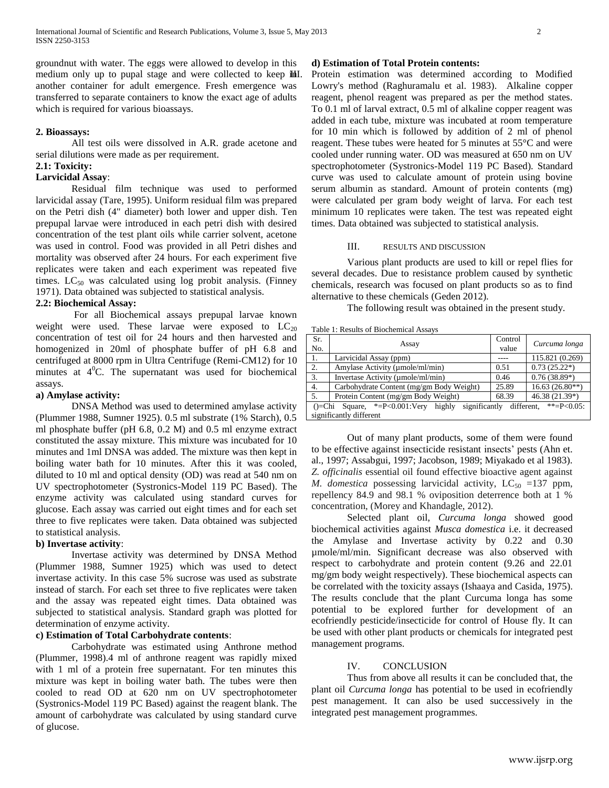groundnut with water. The eggs were allowed to develop in this medium only up to pupal stage and were collected to keep **ill**. another container for adult emergence. Fresh emergence was transferred to separate containers to know the exact age of adults which is required for various bioassays.

## **2. Bioassays:**

All test oils were dissolved in A.R. grade acetone and serial dilutions were made as per requirement.

# **2.1: Toxicity:**

# **Larvicidal Assay**:

Residual film technique was used to performed larvicidal assay (Tare, 1995). Uniform residual film was prepared on the Petri dish (4" diameter) both lower and upper dish. Ten prepupal larvae were introduced in each petri dish with desired concentration of the test plant oils while carrier solvent, acetone was used in control. Food was provided in all Petri dishes and mortality was observed after 24 hours. For each experiment five replicates were taken and each experiment was repeated five times.  $LC_{50}$  was calculated using log probit analysis. (Finney 1971). Data obtained was subjected to statistical analysis.

## **2.2: Biochemical Assay:**

For all Biochemical assays prepupal larvae known weight were used. These larvae were exposed to  $LC_{20}$ concentration of test oil for 24 hours and then harvested and homogenized in 20ml of phosphate buffer of pH 6.8 and centrifuged at 8000 rpm in Ultra Centrifuge (Remi-CM12) for 10 minutes at  $4^0$ C. The supernatant was used for biochemical assays.

## **a) Amylase activity:**

DNSA Method was used to determined amylase activity (Plummer 1988, Sumner 1925). 0.5 ml substrate (1% Starch), 0.5 ml phosphate buffer (pH 6.8, 0.2 M) and 0.5 ml enzyme extract constituted the assay mixture. This mixture was incubated for 10 minutes and 1ml DNSA was added. The mixture was then kept in boiling water bath for 10 minutes. After this it was cooled, diluted to 10 ml and optical density (OD) was read at 540 nm on UV spectrophotometer (Systronics-Model 119 PC Based). The enzyme activity was calculated using standard curves for glucose. Each assay was carried out eight times and for each set three to five replicates were taken. Data obtained was subjected to statistical analysis.

## **b) Invertase activity**:

Invertase activity was determined by DNSA Method (Plummer 1988, Sumner 1925) which was used to detect invertase activity. In this case 5% sucrose was used as substrate instead of starch. For each set three to five replicates were taken and the assay was repeated eight times. Data obtained was subjected to statistical analysis. Standard graph was plotted for determination of enzyme activity.

## **c) Estimation of Total Carbohydrate contents**:

Carbohydrate was estimated using Anthrone method (Plummer, 1998).4 ml of anthrone reagent was rapidly mixed with 1 ml of a protein free supernatant. For ten minutes this mixture was kept in boiling water bath. The tubes were then cooled to read OD at 620 nm on UV spectrophotometer (Systronics-Model 119 PC Based) against the reagent blank. The amount of carbohydrate was calculated by using standard curve of glucose.

#### **d) Estimation of Total Protein contents:**

Protein estimation was determined according to Modified Lowry's method (Raghuramalu et al. 1983). Alkaline copper reagent, phenol reagent was prepared as per the method states. To 0.1 ml of larval extract, 0.5 ml of alkaline copper reagent was added in each tube, mixture was incubated at room temperature for 10 min which is followed by addition of 2 ml of phenol reagent. These tubes were heated for 5 minutes at 55°C and were cooled under running water. OD was measured at 650 nm on UV spectrophotometer (Systronics-Model 119 PC Based). Standard curve was used to calculate amount of protein using bovine serum albumin as standard. Amount of protein contents (mg) were calculated per gram body weight of larva. For each test minimum 10 replicates were taken. The test was repeated eight times. Data obtained was subjected to statistical analysis.

## III. RESULTS AND DISCUSSION

Various plant products are used to kill or repel flies for several decades. Due to resistance problem caused by synthetic chemicals, research was focused on plant products so as to find alternative to these chemicals (Geden 2012).

The following result was obtained in the present study.

## Table 1: Results of Biochemical Assays

| Sr.<br>No.                                                                            | Assay                                    | Control<br>value | Curcuma longa    |
|---------------------------------------------------------------------------------------|------------------------------------------|------------------|------------------|
| 1.                                                                                    | Larvicidal Assay (ppm)                   |                  | 115.821 (0.269)  |
| $\overline{2}$ .                                                                      | Amylase Activity (umole/ml/min)          | 0.51             | $0.73(25.22*)$   |
| 3.                                                                                    | Invertase Activity (µmole/ml/min)        | 0.46             | $0.76(38.89*)$   |
| 4.                                                                                    | Carbohydrate Content (mg/gm Body Weight) | 25.89            | $16.63(26.80**)$ |
| 5.                                                                                    | Protein Content (mg/gm Body Weight)      | 68.39            | 46.38 (21.39*)   |
| **= $P<0.05$<br>Square, $*=P<0.001$ : Very highly significantly different,<br>$O=Chi$ |                                          |                  |                  |
| significantly different                                                               |                                          |                  |                  |

Out of many plant products, some of them were found to be effective against insecticide resistant insects' pests (Ahn et. al., 1997; Assabgui, 1997; Jacobson, 1989; Miyakado et al 1983). *Z. officinalis* essential oil found effective bioactive agent against *M. domestica* possessing larvicidal activity,  $LC_{50}$  =137 ppm, repellency 84.9 and 98.1 % oviposition deterrence both at 1 % concentration, (Morey and Khandagle, 2012).

Selected plant oil, *Curcuma longa* showed good biochemical activities against *Musca domestica* i.e. it decreased the Amylase and Invertase activity by 0.22 and 0.30 µmole/ml/min. Significant decrease was also observed with respect to carbohydrate and protein content (9.26 and 22.01 mg/gm body weight respectively). These biochemical aspects can be correlated with the toxicity assays (Ishaaya and Casida, 1975). The results conclude that the plant Curcuma longa has some potential to be explored further for development of an ecofriendly pesticide/insecticide for control of House fly. It can be used with other plant products or chemicals for integrated pest management programs.

## IV. CONCLUSION

Thus from above all results it can be concluded that, the plant oil *Curcuma longa* has potential to be used in ecofriendly pest management. It can also be used successively in the integrated pest management programmes.